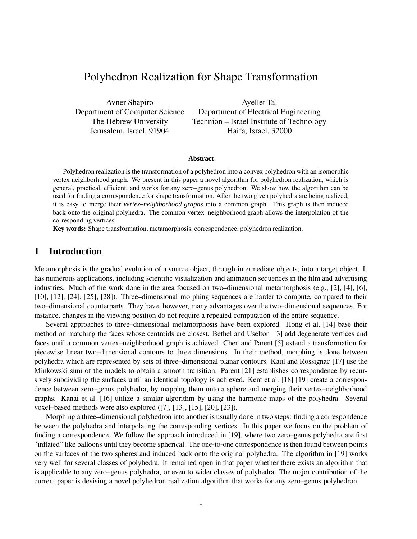# Polyhedron Realization for Shape Transformation

Avner Shapiro Ayellet Tal Department of Computer Science Department of Electrical Engineering The Hebrew University Technion – Israel Institute of Technology Jerusalem, Israel, 91904 Haifa, Israel, 32000

#### **Abstract**

Polyhedron realization is the transformation of a polyhedron into a convex polyhedron with an isomorphic vertex neighborhood graph. We present in this paper a novel algorithm for polyhedron realization, which is general, practical, efficient, and works for any zero–genus polyhedron. We show how the algorithm can be used for finding a correspondence for shape transformation. After the two given polyhedra are being realized, it is easy to merge their *vertex–neighborhood graphs* into a common graph. This graph is then induced back onto the original polyhedra. The common vertex–neighborhood graph allows the interpolation of the corresponding vertices.

**Key words:** Shape transformation, metamorphosis, correspondence, polyhedron realization.

### **1 Introduction**

Metamorphosis is the gradual evolution of a source object, through intermediate objects, into a target object. It has numerous applications, including scientific visualization and animation sequences in the film and advertising industries. Much of the work done in the area focused on two–dimensional metamorphosis (e.g., [2], [4], [6], [10], [12], [24], [25], [28]). Three–dimensional morphing sequences are harder to compute, compared to their two–dimensional counterparts. They have, however, many advantages over the two–dimensional sequences. For instance, changes in the viewing position do not require a repeated computation of the entire sequence.

Several approaches to three–dimensional metamorphosis have been explored. Hong et al. [14] base their method on matching the faces whose centroids are closest. Bethel and Uselton [3] add degenerate vertices and faces until a common vertex–neighborhood graph is achieved. Chen and Parent [5] extend a transformation for piecewise linear two–dimensional contours to three dimensions. In their method, morphing is done between polyhedra which are represented by sets of three–dimensional planar contours. Kaul and Rossignac [17] use the Minkowski sum of the models to obtain a smooth transition. Parent [21] establishes correspondence by recursively subdividing the surfaces until an identical topology is achieved. Kent et al. [18] [19] create a correspondence between zero–genus polyhedra, by mapping them onto a sphere and merging their vertex–neighborhood graphs. Kanai et al. [16] utilize a similar algorithm by using the harmonic maps of the polyhedra. Several voxel–based methods were also explored ([7], [13], [15], [20], [23]).

Morphing a three–dimensional polyhedron into another is usually done in two steps: finding a correspondence between the polyhedra and interpolating the corresponding vertices. In this paper we focus on the problem of finding a correspondence. We follow the approach introduced in [19], where two zero–genus polyhedra are first "inflated" like balloons until they become spherical. The one-to-one correspondence is then found between points on the surfaces of the two spheres and induced back onto the original polyhedra. The algorithm in [19] works very well for several classes of polyhedra. It remained open in that paper whether there exists an algorithm that is applicable to any zero–genus polyhedra, or even to wider classes of polyhedra. The major contribution of the current paper is devising a novel polyhedron realization algorithm that works for any zero–genus polyhedron.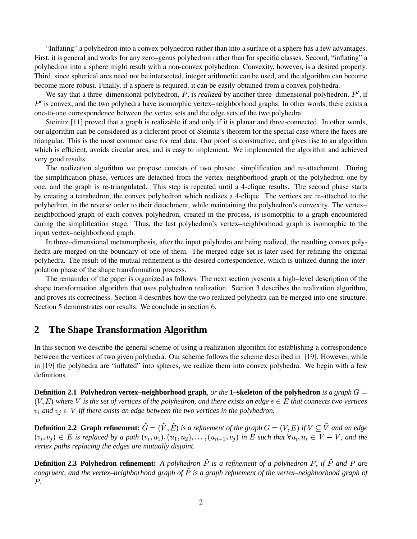"Inflating" a polyhedron into a convex polyhedron rather than into a surface of a sphere has a few advantages. First, it is general and works for any zero–genus polyhedron rather than for specific classes. Second, "inflating" a polyhedron into a sphere might result with a non-convex polyhedron. Convexity, however, is a desired property. Third, since spherical arcs need not be intersected, integer arithmetic can be used, and the algorithm can become become more robust. Finally, if a sphere is required, it can be easily obtained from a convex polyhedra.

We say that a three–dimensional polyhedron,  $P$ , is *realized* by another three–dimensional polyhedron,  $P'$ , if  $P'$  is convex, and the two polyhedra have isomorphic vertex–neighborhood graphs. In other words, there exists a one-to-one correspondence between the vertex sets and the edge sets of the two polyhedra.

Steinitz [11] proved that a graph is realizable if and only if it is planar and three-connected. In other words, our algorithm can be considered as a different proof of Steinitz's theorem for the special case where the faces are triangular. This is the most common case for real data. Our proof is constructive, and gives rise to an algorithm which is efficient, avoids circular arcs, and is easy to implement. We implemented the algorithm and achieved very good results.

The realization algorithm we propose consists of two phases: simplification and re-attachment. During the simplification phase, vertices are detached from the vertex–neighborhood graph of the polyhedron one by one, and the graph is re-triangulated. This step is repeated until a 4-clique results. The second phase starts by creating a tetrahedron, the convex polyhedron which realizes a 4-clique. The vertices are re-attached to the polyhedron, in the reverse order to their detachment, while maintaining the polyhedron's convexity. The vertex– neighborhood graph of each convex polyhedron, created in the process, is isomorphic to a graph encountered during the simplification stage. Thus, the last polyhedron's vertex–neighborhood graph is isomorphic to the input vertex–neighborhood graph.

In three–dimensional metamorphosis, after the input polyhedra are being realized, the resulting convex polyhedra are merged on the boundary of one of them. The merged edge set is later used for refining the original polyhedra. The result of the mutual refinement is the desired correspondence, which is utilized during the interpolation phase of the shape transformation process.

The remainder of the paper is organized as follows. The next section presents a high–level description of the shape transformation algorithm that uses polyhedron realization. Section 3 describes the realization algorithm, and proves its correctness. Section 4 describes how the two realized polyhedra can be merged into one structure. Section 5 demonstrates our results. We conclude in section 6.

### **2 The Shape Transformation Algorithm**

In this section we describe the general scheme of using a realization algorithm for establishing a correspondence between the vertices of two given polyhedra. Our scheme follows the scheme described in [19]. However, while in [19] the polyhedra are "inflated" into spheres, we realize them into convex polyhedra. We begin with a few definitions.

**Definition** 2.1 Polyhedron vertex–neighborhood graph, *or the* 1–skeleton of the polyhedron *is* a graph  $G =$  $(V,E)$  where  $V$  is the set of vertices of the polyhedron, and there exists an edge  $e\in E$  that connects two vertices  $v_i$  *and*  $v_j \in V$  *iff there exists an edge between the two vertices in the polyhedron.* 

**Definition 2.2 Graph refinement:**  $G = (V, E)$  is a refinement of the graph  $G = (V, E)$  if  $V \subseteq V$  and an edge  $(v_i, v_j) \in E$  is replaced by a path  $(v_i, u_1), (u_1, u_2), \ldots, (u_{n-1}, v_j)$  in E such that  $\forall u_i, u_i \in V - V$ , and the *vertex paths replacing the edges are mutually disjoint.*

**Definition 2.3 Polyhedron refinement:** A polyhedron P is a refinement of a polyhedron P, if P and P are *congruent, and the vertex–neighborhood graph of is a graph refinement of the vertex–neighborhood graph of P*.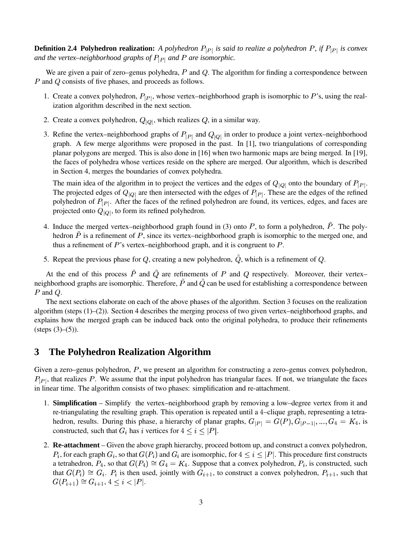**Definition 2.4 Polyhedron realization:** A polyhedron  $P_{|P|}$  is said to realize a polyhedron P, if  $P_{|P|}$  is convex and the vertex–neighborhood graphs of  $P_{|P|}$  and P are isomorphic.

We are given a pair of zero–genus polyhedra,  $P$  and  $Q$ . The algorithm for finding a correspondence between  $P$  and  $Q$  consists of five phases, and proceeds as follows.

- 1. Create a convex polyhedron,  $P_{|P|}$ , whose vertex–neighborhood graph is isomorphic to P's, using the realization algorithm described in the next section.
- 2. Create a convex polyhedron,  $Q_{|Q|}$ , which realizes Q, in a similar way.
- 3. Refine the vertex–neighborhood graphs of  $P_{|P|}$  and  $Q_{|Q|}$  in order to produce a joint vertex–neighborhood graph. A few merge algorithms were proposed in the past. In [1], two triangulations of corresponding planar polygons are merged. This is also done in [16] when two harmonic maps are being merged. In [19], the faces of polyhedra whose vertices reside on the sphere are merged. Our algorithm, which is described in Section 4, merges the boundaries of convex polyhedra.

The main idea of the algorithm in to project the vertices and the edges of  $Q_{|Q|}$  onto the boundary of  $P_{|P|}$ . The projected edges of  $Q_{[Q]}$  are then intersected with the edges of  $P_{[P]}$ . These are the edges of the refined polyhedron of  $P_{|P|}$ . After the faces of the refined polyhedron are found, its vertices, edges, and faces are projected onto  $Q_{[Q]}$ , to form its refined polyhedron.

- 4. Induce the merged vertex–neighborhood graph found in  $(3)$  onto  $P$ , to form a polyhedron,  $P$ . The polyhedron  $P$  is a refinement of  $P$ , since its vertex–neighborhood graph is isomorphic to the merged one, and thus a refinement of  $P$ 's vertex–neighborhood graph, and it is congruent to  $P$ .
- 5. Repeat the previous phase for Q, creating a new polyhedron,  $\tilde{Q}$ , which is a refinement of Q.

At the end of this process P and Q are refinements of P and Q respectively. Moreover, their vertex– neighborhood graphs are isomorphic. Therefore,  $P$  and  $Q$  can be used for establishing a correspondence between  $P$  and  $Q$ .

The next sections elaborate on each of the above phases of the algorithm. Section 3 focuses on the realization algorithm (steps (1)–(2)). Section 4 describes the merging process of two given vertex–neighborhood graphs, and explains how the merged graph can be induced back onto the original polyhedra, to produce their refinements  $(steps (3)–(5)).$ 

### **3 The Polyhedron Realization Algorithm**

Given a zero–genus polyhedron,  $P$ , we present an algorithm for constructing a zero–genus convex polyhedron,  $P_{|P|}$ , that realizes P. We assume that the input polyhedron has triangular faces. If not, we triangulate the faces in linear time. The algorithm consists of two phases: simplification and re-attachment.

- 1. **Simplification** Simplify the vertex–neighborhood graph by removing a low–degree vertex from it and re-triangulating the resulting graph. This operation is repeated until a –clique graph, representing a tetrahedron, results. During this phase, a hierarchy of planar graphs,  $G_{|P|} = G(P), G_{|P-1|}, \ldots$ #  $G_{P-11},...,G_4 =$  $G_4 = K_4$ , is constructed, such that  $G_i$  has i vertices for  $4 \leq i \leq |P|$ .
- 2. **Re-attachment** Given the above graph hierarchy, proceed bottom up, and construct a convex polyhedron,  $P_i$ , for each graph  $G_i$ , so that  $G(P_i)$  and  $G_i$  are isomorphic, for  $4 \leq i \leq |P|$ . This procedure first constructs a tetrahedron,  $P_4$ , so that  $G(P_4) \cong G_4 = K_4$ . . . .  $\sim$  . The contract of the contract of the contract of the contract of the contract of the contract of the contract of the contract of the contract of the contract of the contract of the contract of the contract of the co  $\cong G_4 = K_4$ . Suppose that a convex polyhedron,  $P_i$ , is constructed, such that  $G(P_i) \cong G_i$ .  $P_i$  is then used, jointly with  $G_{i+1}$ , to construct a convex polyhedron,  $P_{i+1}$ , such that  $G(P_{i+1}) \cong G_{i+1}, 4 \leq i < |P|.$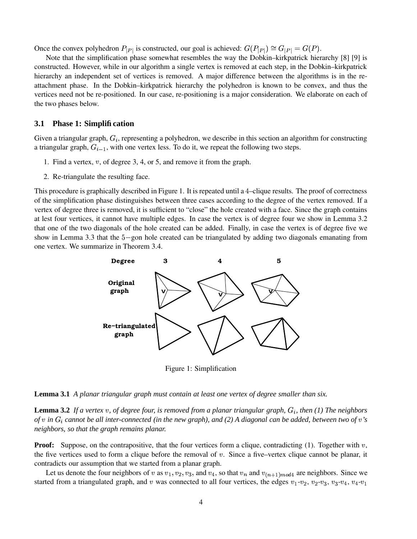Once the convex polyhedron  $P_{|P|}$  is constructed, our goal is achieved:  $G(P_{|P|}) \cong G_{|P|} = G(P)$ .  $\cong G_{|P|} = G(P).$ 

Note that the simplification phase somewhat resembles the way the Dobkin–kirkpatrick hierarchy [8] [9] is constructed. However, while in our algorithm a single vertex is removed at each step, in the Dobkin–kirkpatrick hierarchy an independent set of vertices is removed. A major difference between the algorithms is in the reattachment phase. In the Dobkin–kirkpatrick hierarchy the polyhedron is known to be convex, and thus the vertices need not be re-positioned. In our case, re-positioning is a major consideration. We elaborate on each of the two phases below.

### **3.1 Phase 1: Simplification**

Given a triangular graph,  $G_i$ , representing a polyhedron, we describe in this section an algorithm for constructing a triangular graph,  $G_{i-1}$ , with one vertex less. To do it, we repeat the following two steps.

- 1. Find a vertex,  $v$ , of degree 3, 4, or 5, and remove it from the graph.
- 2. Re-triangulate the resulting face.

This procedure is graphically described in Figure 1. It is repeated until a 4-clique results. The proof of correctness of the simplification phase distinguishes between three cases according to the degree of the vertex removed. If a vertex of degree three is removed, it is sufficient to "close" the hole created with a face. Since the graph contains at lest four vertices, it cannot have multiple edges. In case the vertex is of degree four we show in Lemma 3.2 that one of the two diagonals of the hole created can be added. Finally, in case the vertex is of degree five we show in Lemma 3.3 that the 5-gon hole created can be triangulated by adding two diagonals emanating from one vertex. We summarize in Theorem 3.4.



Figure 1: Simplification

**Lemma 3.1** *A planar triangular graph must contain at least one vertex of degree smaller than six.*

**Lemma 3.2** If a vertex v, of degree four, is removed from a planar triangular graph,  $G_i$ , then (1) The neighbors of v in  $G_i$  cannot be all inter-connected (in the new graph), and (2) A diagonal can be added, between two of v's *neighbors, so that the graph remains planar.*

**Proof:** Suppose, on the contrapositive, that the four vertices form a clique, contradicting (1). Together with v, the five vertices used to form a clique before the removal of  $v$ . Since a five–vertex clique cannot be planar, it contradicts our assumption that we started from a planar graph.

Let us denote the four neighbors of v as  $v_1, v_2, v_3$ , and  $v_4$ , so that  $v_n$  and  $v_{(n+1)mod4}$  are neighbors. Since we started from a triangulated graph, and v was connected to all four vertices, the edges  $v_1$ - $v_2$ ,  $v_2$ - $v_3$ ,  $v_3$ - $v_4$ ,  $v_4$ - $v_1$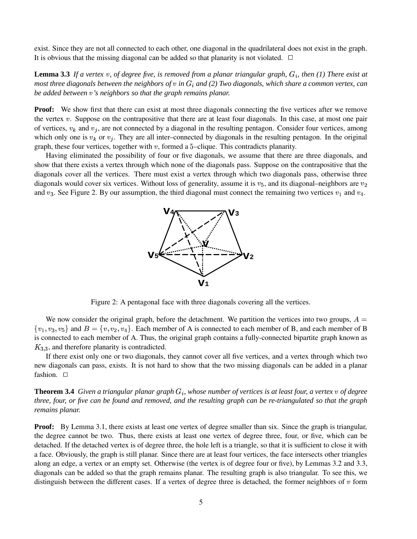exist. Since they are not all connected to each other, one diagonal in the quadrilateral does not exist in the graph. It is obvious that the missing diagonal can be added so that planarity is not violated.  $\Box$ 

**Lemma 3.3** If a vertex v, of degree five, is removed from a planar triangular graph,  $G_i$ , then (1) There exist at most three diagonals between the neighbors of  $v$  in  $G_i$  and (2) Two diagonals, which share a common vertex, can *be added between 's neighbors so that the graph remains planar.*

**Proof:** We show first that there can exist at most three diagonals connecting the five vertices after we remove the vertex v. Suppose on the contrapositive that there are at least four diagonals. In this case, at most one pair of vertices,  $v_k$  and  $v_j$ , are not connected by a diagonal in the resulting pentagon. Consider four vertices, among which only one is  $v_k$  or  $v_j$ . They are all inter–connected by diagonals in the resulting pentagon. In the original graph, these four vertices, together with  $v$ , formed a 5-clique. This contradicts planarity.

Having eliminated the possibility of four or five diagonals, we assume that there are three diagonals, and show that there exists a vertex through which none of the diagonals pass. Suppose on the contrapositive that the diagonals cover all the vertices. There must exist a vertex through which two diagonals pass, otherwise three diagonals would cover six vertices. Without loss of generality, assume it is  $v_5$ , and its diagonal–neighbors are  $v_2$ and  $v_3$ . See Figure 2. By our assumption, the third diagonal must connect the remaining two vertices  $v_1$  and  $v_4$ .



Figure 2: A pentagonal face with three diagonals covering all the vertices.

We now consider the original graph, before the detachment. We partition the vertices into two groups,  $A =$  $\{v_1, v_3, v_5\}$  and  $B = \{v, v_2, v_4\}$ . Ea  $\{v, v_2, v_4\}$ . Each member of A is connected to each member of B, and each member of B is connected to each member of A. Thus, the original graph contains a fully-connected bipartite graph known as  $K_{3,3}$ , and therefore planarity is contradicted.

If there exist only one or two diagonals, they cannot cover all five vertices, and a vertex through which two new diagonals can pass, exists. It is not hard to show that the two missing diagonals can be added in a planar fashion.  $\square$ 

**Theorem 3.4** Given a triangular planar graph  $G_i$ , whose number of vertices is at least four, a vertex v of degree three, four, or five can be found and removed, and the resulting graph can be re-triangulated so that the graph *remains planar.*

**Proof:** By Lemma 3.1, there exists at least one vertex of degree smaller than six. Since the graph is triangular, the degree cannot be two. Thus, there exists at least one vertex of degree three, four, or five, which can be detached. If the detached vertex is of degree three, the hole left is a triangle, so that it is sufficient to close it with a face. Obviously, the graph is still planar. Since there are at least four vertices, the face intersects other triangles along an edge, a vertex or an empty set. Otherwise (the vertex is of degree four or five), by Lemmas 3.2 and 3.3, diagonals can be added so that the graph remains planar. The resulting graph is also triangular. To see this, we distinguish between the different cases. If a vertex of degree three is detached, the former neighbors of  $v$  form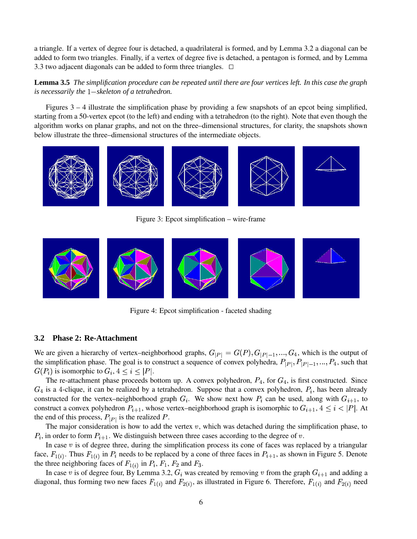a triangle. If a vertex of degree four is detached, a quadrilateral is formed, and by Lemma 3.2 a diagonal can be added to form two triangles. Finally, if a vertex of degree five is detached, a pentagon is formed, and by Lemma 3.3 two adjacent diagonals can be added to form three triangles.  $\Box$ 

**Lemma 3.5** The simplification procedure can be repeated until there are four vertices left. In this case the graph *is necessarily the* <sup>2</sup> *skeleton of a tetrahedron.*

Figures 3 – 4 illustrate the simplification phase by providing a few snapshots of an epcot being simplified, starting from a 50-vertex epcot (to the left) and ending with a tetrahedron (to the right). Note that even though the algorithm works on planar graphs, and not on the three–dimensional structures, for clarity, the snapshots shown below illustrate the three–dimensional structures of the intermediate objects.



Figure 3: Epcot simplification – wire-frame



Figure 4: Epcot simplification - faceted shading

### **3.2 Phase 2: Re-Attachment**

We are given a hierarchy of vertex–neighborhood graphs,  $G_{|P|} = G(P), G_{|P|-1}, \ldots$ #  $G_{|P|=1},...,G_4$ , which is the output of the simplification phase. The goal is to construct a sequence of convex polyhedra,  $P_{|P|}, P_{|P|=1}, ..., P_4$ , such that  $G(P_i)$  is isomorphic to  $G_i$ ,  $4 \leq i \leq |P|$ .

The re-attachment phase proceeds bottom up. A convex polyhedron,  $P_4$ , for  $G_4$ , is first constructed. Since  $G_4$  is a 4-clique, it can be realized by a tetrahedron. Suppose that a convex polyhedron,  $P_i$ , has been already constructed for the vertex–neighborhood graph  $G_i$ . We show next how  $P_i$  can be used, along with  $G_{i+1}$ , to construct a convex polyhedron  $P_{i+1}$ , whose vertex–neighborhood graph is isomorphic to  $G_{i+1}$ ,  $4 \leq i < |P|$ . At the end of this process,  $P_{|P|}$  is the realized P.

The major consideration is how to add the vertex  $v$ , which was detached during the simplification phase, to  $P_i$ , in order to form  $P_{i+1}$ . We distinguish between three cases according to the degree of v.

In case  $v$  is of degree three, during the simplification process its cone of faces was replaced by a triangular face,  $F_{1(i)}$ . Thus  $F_{1(i)}$  in  $P_i$  needs to be replaced by a cone of three faces in  $P_{i+1}$ , as shown in Figure 5. Denote the three neighboring faces of  $F_{1(i)}$  in  $P_i$ ,  $F_1$ ,  $F_2$  and  $F_3$ .

In case v is of degree four, By Lemma 3.2,  $G_i$  was created by removing v from the graph  $G_{i+1}$  and adding a diagonal, thus forming two new faces  $F_{1(i)}$  and  $F_{2(i)}$ , as illustrated in Figure 6. Therefore,  $F_{1(i)}$  and  $F_{2(i)}$  need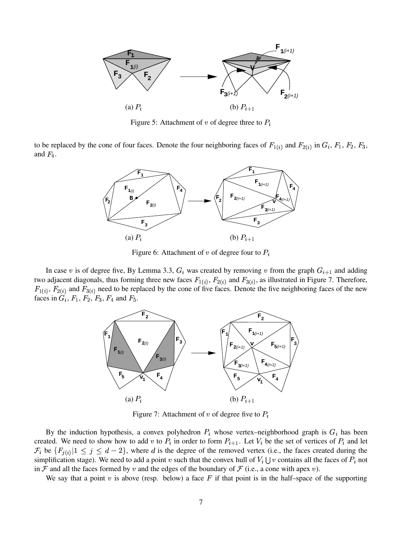

Figure 5: Attachment of v of degree three to  $P_i$ 

to be replaced by the cone of four faces. Denote the four neighboring faces of  $F_{1(i)}$  and  $F_{2(i)}$  in  $G_i$ ,  $F_1$ ,  $F_2$ ,  $F_3$ , and  $F_4$ .



Figure 6: Attachment of v of degree four to  $P_i$ 

In case v is of degree five, By Lemma 3.3,  $G_i$  was created by removing v from the graph  $G_{i+1}$  and adding two adjacent diagonals, thus forming three new faces  $F_{1(i)}$ ,  $F_{2(i)}$  and  $F_{3(i)}$ , as illustrated in Figure 7. Therefore,  $F_{1(i)}$ ,  $F_{2(i)}$  and  $F_{3(i)}$  need to be replaced by the cone of five faces. Denote the five neighboring faces of the new faces in  $G_i$ ,  $F_1$ ,  $F_2$ ,  $F_3$ ,  $F_4$  and  $F_5$ .



Figure 7: Attachment of v of degree five to  $P_i$ 

By the induction hypothesis, a convex polyhedron  $P_i$  whose vertex–neighborhood graph is  $G_i$  has been created. We need to show how to add v to  $P_i$  in order to form  $P_{i+1}$ . Let  $V_i$  be the set of vertices of  $P_i$  and let  $\mathcal{F}_i$  be  $\{F_{i(i)}|1 \leq j \leq d-2\}$ , where d is the degree of the removed vertex (i.e., the faces created during the simplification stage). We need to add a point v such that the convex hull of  $V_i \cup v$  contains all the faces of  $P_i$  not in F and all the faces formed by v and the edges of the boundary of F (i.e., a cone with apex v).

We say that a point  $v$  is above (resp. below) a face  $F$  if that point is in the half–space of the supporting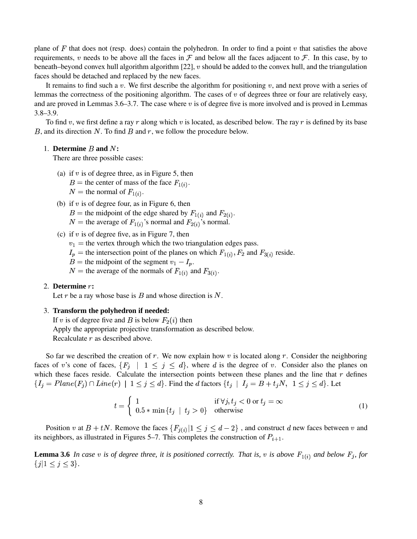plane of  $F$  that does not (resp. does) contain the polyhedron. In order to find a point  $v$  that satisfies the above requirements, v needs to be above all the faces in  $\mathcal F$  and below all the faces adjacent to  $\mathcal F$ . In this case, by to beneath–beyond convex hull algorithm algorithm  $[22]$ , v should be added to the convex hull, and the triangulation faces should be detached and replaced by the new faces.

It remains to find such a  $v$ . We first describe the algorithm for positioning  $v$ , and next prove with a series of lemmas the correctness of the positioning algorithm. The cases of  $v$  of degrees three or four are relatively easy, and are proved in Lemmas 3.6–3.7. The case where  $v$  is of degree five is more involved and is proved in Lemmas 3.8–3.9.

To find v, we first define a ray  $r$  along which v is located, as described below. The ray  $r$  is defined by its base  $B$ , and its direction  $N$ . To find  $B$  and  $r$ , we follow the procedure below.

#### 1. **Determine**  $B$  and  $N$ :

There are three possible cases:

- (a) if  $v$  is of degree three, as in Figure 5, then
	- $B =$  the center of mass of the face  $F_{1(i)}$ .
	- $N =$  the normal of  $F_{1(i)}$ .
- (b) if  $v$  is of degree four, as in Figure 6, then
	- $B =$  the midpoint of the edge shared by  $F_{1(i)}$  and  $F_{2(i)}$ .
	- $N =$  the average of  $F_{1(i)}$ 's normal and  $F_{2(i)}$ 's normal.
- (c) if  $v$  is of degree five, as in Figure 7, then
	- $v_1$  = the vertex through which the two triangulation edges pass.
	- $I_p$  = the intersection point of the planes on which  $F_{1(i)}$ ,  $F_2$  and  $F_{3(i)}$  $F_2$  and  $F_{3(i)}$  reside.
	- $B =$  the midpoint of the segment  $v_1 I_p$ .
	- $N =$  the average of the normals of  $F_{1(i)}$  and  $F_{3(i)}$ .

#### 2. **Determine :**

Let r be a ray whose base is  $B$  and whose direction is  $N$ .

#### 3. **Transform the polyhedron if needed:**

If v is of degree five and B is below  $F_2(i)$  then Apply the appropriate projective transformation as described below. Recalculate  $r$  as described above.

So far we described the creation of  $r$ . We now explain how  $v$  is located along  $r$ . Consider the neighboring faces of v's cone of faces,  $\{F_i \mid 1 \leq j \leq d\}$ , where d is the degree of v. Consider also the planes on which these faces reside. Calculate the intersection points between these planes and the line that  $r$  defines  $\{I_i = Plane(F_i) \cap Line(r) \mid 1 \leq$ . . .  $| 1 \leq j \leq d$ . Find the *d* factors  $\{t_i | I_i = B + t_i N, 1 \leq j \leq d\}$ .  $1 \leq j \leq d$ . Let

$$
t = \begin{cases} 1 & \text{if } \forall j, t_j < 0 \text{ or } t_j = \infty \\ 0.5 * \min\{t_j \mid t_j > 0\} & \text{otherwise} \end{cases}
$$
(1)

Position v at  $B + tN$ . Remove the faces  $\{F_{i(i)} | 1 \leq j \leq d-2\}$ , and construct d new faces between v and its neighbors, as illustrated in Figures 5–7. This completes the construction of  $P_{i+1}$ .

**Lemma 3.6** In case v is of degree three, it is positioned correctly. That is, v is above  $F_{1(i)}$  and below  $F_i$ , for  $\{j | 1 \leq j \leq 3\}.$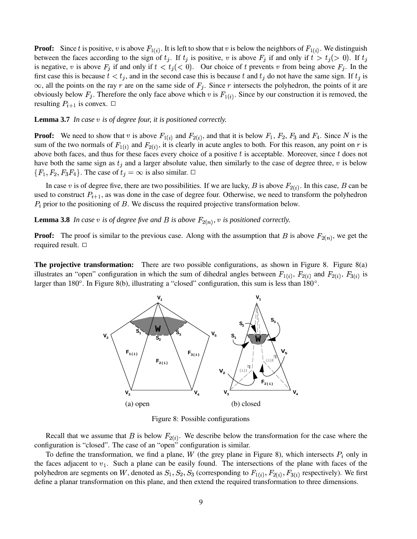**Proof:** Since t is positive, v is above  $F_{1(i)}$ . It is left to show that v is below the neighbors of  $F_{1(i)}$ . We distinguish between the faces according to the sign of  $t_i$ . If  $t_i$  is positive, v is above  $F_i$  if and only if  $t > t_i(> 0)$ . If  $t_i$ ). If  $t_i$ is negative, v is above  $F_i$  if and only if  $t < t_i \, (< 0)$ . Or . . . . . . . ). Our choice of t prevents v from being above  $F_i$ . In the first case this is because  $t < t_j$ , and in the second case this is because t and  $t_j$  do not have the same sign. If  $t_j$  is  $\infty$ , all the points on the ray r are on the same side of  $F_i$ . Since r intersects the polyhedron, the points of it are obviously below  $F_i$ . Therefore the only face above which v is  $F_{1(i)}$ . Since by our construction it is removed, the resulting  $P_{i+1}$  is convex.  $\Box$ 

#### **Lemma 3.7** *In case is of degree four, it is positioned correctly.*

**Proof:** We need to show that v is above  $F_{1(i)}$  and  $F_{2(i)}$ , and that it is below  $F_1$ ,  $F_2$ ,  $F_3$  and  $F_4$ . Since N is the sum of the two normals of  $F_{1(i)}$  and  $F_{2(i)}$ , it is clearly in acute angles to both. For this reason, any point on r is above both faces, and thus for these faces every choice of a positive  $t$  is acceptable. Moreover, since  $t$  does not have both the same sign as  $t_i$  and a larger absolute value, then similarly to the case of degree three,  $v$  is below  ${F_1, F_2, F_3F_4}$ . Th  $F_2, F_3F_4$ . The case of  $t_i = \infty$  is also similar.  $\Box$ 

In case v is of degree five, there are two possibilities. If we are lucky, B is above  $F_{2(i)}$ . In this case, B can be used to construct  $P_{i+1}$ , as was done in the case of degree four. Otherwise, we need to transform the polyhedron  $P_i$  prior to the positioning of  $B$ . We discuss the required projective transformation below.

**Lemma 3.8** In case v is of degree five and B is above  $F_{2(n)}$ , v is positioned correctly.

**Proof:** The proof is similar to the previous case. Along with the assumption that B is above  $F_{2(n)}$ , we get the required result.  $\Box$ 

**The projective transformation:** There are two possible configurations, as shown in Figure 8. Figure 8(a) illustrates an "open" configuration in which the sum of dihedral angles between  $F_{1(i)}$ ,  $F_{2(i)}$  and  $F_{2(i)}$ ,  $F_{3(i)}$  is larger than  $180^\circ$ . In Figure 8(b), illustrating a "closed" configuration, this sum is less than  $180^\circ$ .



Figure 8: Possible configurations

Recall that we assume that B is below  $F_{2(i)}$ . We describe below the transformation for the case where the configuration is "closed". The case of an "open" configuration is similar.

To define the transformation, we find a plane, W (the grey plane in Figure 8), which intersects  $P_i$  only in the faces adjacent to  $v_1$ . Such a plane can be easily found. The intersections of the plane with faces of the polyhedron are segments on W, denoted as  $S_1, S_2, S_3$  (corr  $S_2, S_3$  (corresponding to  $F_{1(i)}$ ,  $F_{2(i)}$ ,  $F_{3(i)}$  1  $F_{2(i)}$ ,  $F_{3(i)}$  respectively). We first define a planar transformation on this plane, and then extend the required transformation to three dimensions.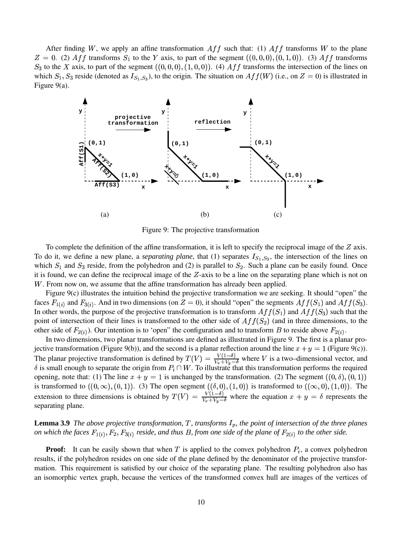After finding W, we apply an affine transformation  $Aff$  such that: (1)  $Aff$  transforms W to the plane  $Z = 0$ . (2)  $Aff$  transforms  $S_1$  to the Y axis, to part of the segment  $((0,0,0), (0,0))$ -------- - . . . - . . - . # \$ --------- $(1,0)$ 0). (3)  $Aff$  transforms  $S_3$  to the X axis, to part of the segment  $((0,0,0), (1,$ --------- - . . . - . - . # \$ . . . . . . . . ------- 0). (4)  $Aff$  transforms the intersection of the lines on which  $S_1, S_3$  reside (denoted as  $I_{S_1, S_3}$ ), to the origin. The situation on  $Aff(W)$  (i.e., on  $Z = 0$ ) is illustrated in Figure 9(a).



Figure 9: The projective transformation

To complete the definition of the affine transformation, it is left to specify the reciprocal image of the  $Z$  axis. To do it, we define a new plane, a *separating plane*, that  $(1)$  separates  $I_{S_1,S_3}$ , the intersection of the lines on which  $S_1$  and  $S_3$  reside, from the polyhedron and (2) is parallel to  $S_2$ . Such a plane can be easily found. Once it is found, we can define the reciprocal image of the  $Z$ -axis to be a line on the separating plane which is not on W. From now on, we assume that the affine transformation has already been applied.

Figure 9(c) illustrates the intuition behind the projective transformation we are seeking. It should "open" the faces  $F_{1(i)}$  and  $F_{3(i)}$ . And in two dimensions (on  $Z = 0$ ), it should "open" the segments  $Aff(S_1)$  and  $Aff(S_3)$ . In other words, the purpose of the projective transformation is to transform  $Aff(S_1)$  and  $Aff(S_3)$  such that the point of intersection of their lines is transformed to the other side of  $Aff(S_2)$  (and in three dimensions, to the other side of  $F_{2(i)}$ ). Our intention is to 'open" the configuration and to transform B to reside above  $F_{2(i)}$ .

In two dimensions, two planar transformations are defined as illustrated in Figure 9. The first is a planar projective transformation (Figure 9(b)), and the second is a planar reflection around the line  $x + y = 1$  (Figure 9(c)). The planar projective transformation is defined by  $T(V) = \frac{V(1-\theta)}{V+V}$ . . . . . . . . . The planar projective transformation is defined by  $T(V) = \frac{V(1-\theta)}{V_x + V_y - \delta}$  where V is a two–dimensional vector, and  $\delta$  is small enough to separate the origin from  $P_i \cap W$ . To illustrate that this transformation perfor opening, note that: (1) The line  $x + y = 1$  is unchanged by the transformation. (2) The segment  $((0, \delta), (0, 1))$  $-1$  ,  $-1$  $(1)$ is transformed to  $((0, \infty), (0, 1))$  . . . .  $-1$ ,  $-1$  $(1)$ ). (3) The open segment  $((\delta, 0),$  $\sim$  , , ,  $\sim$  , , , . . . . . . - - - - - - - 0) is transformed to  $((\infty,0),(1,0))$ . The  $-11 - 121$ . . . . .  $0)$ ). The extension to three dimensions is obtained by  $T(V) = \frac{V(1-\theta)}{V+V}$   $\frac{V(1-\delta)}{V(x+V_y-\delta)}$  where the equation  $x+y=\delta$  represents the separating plane.

#### **Lemma 3.9** The above projective transformation, T, transforms  $I_p$ , the point of intersection of the three planes *on* which the faces  $F_{1(i)}$ ,  $F_2$ ,  $F_{3(i)}$  res  $F_2, F_{3(i)}$  reside, and thus B, from one side of the plane of  $F_{2(i)}$  to the other side.

**Proof:** It can be easily shown that when  $T$  is applied to the convex polyhedron  $P_i$ , a convex polyhedron results, if the polyhedron resides on one side of the plane defined by the denominator of the projective transformation. This requirement is satisfied by our choice of the separating plane. The resulting polyhedron also has an isomorphic vertex graph, because the vertices of the transformed convex hull are images of the vertices of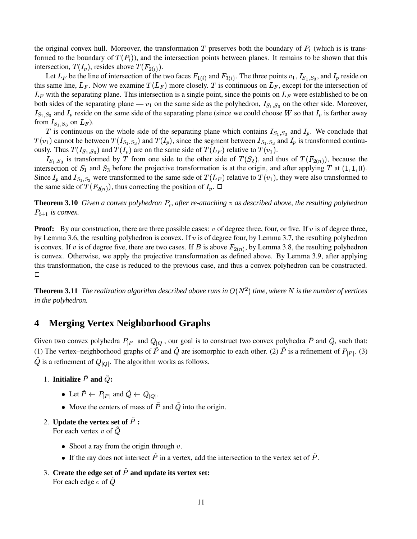the original convex hull. Moreover, the transformation T preserves both the boundary of  $P_i$  (which is is transformed to the boundary of  $T(P_i)$ ), and the intersection points between planes. It remains to be shown that this intersection,  $T(I_p)$ , resides above  $T(F_{2(i)})$ .

Let  $L_F$  be the line of intersection of the two faces  $F_{1(i)}$  and  $F_{3(i)}$ . The three points  $v_1, I_{S_1, S_3}$ , and  $I_p$  reside on this same line,  $L_F$ . Now we examine  $T(L_F)$  more closely. T is continuous on  $L_F$ , except for the intersection of  $L_F$  with the separating plane. This intersection is a single point, since the points on  $L_F$  were established to be on both sides of the separating plane —  $v_1$  on the same side as the polyhedron,  $I_{S_1,S_3}$  on the other side. Moreover,  $I_{S_1,S_3}$  and  $I_p$  reside on the same side of the separating plane (since we could choose W so that  $I_p$  is farther away from  $I_{S_1, S_3}$  on  $L_F$ ).

T is continuous on the whole side of the separating plane which contains  $I_{S_1,S_3}$  and  $I_p$ . We conclude that  $(v_1)$  cannot be between  $T(I_{S_1,S_3})$  and  $T(I_p)$ , since the segment between  $I_{S_1,S_3}$  and  $I_p$  is transformed continuously. Thus  $T(I_{S_1,S_3})$  and  $T(I_p)$  are on the same side of  $T(L_F)$  relative to  $T(v_1)$ .

 $I_{S_1, S_3}$  is transformed by T from one side to the other side of  $T(S_2)$ , and thus  $S_2$ ), and thus of  $T(F_{2(n)})$ , because the intersection of  $S_1$  and  $S_3$  before the projective transformation is at the origin, and after applying T at  $(1,1,0)$ .  $\sim$  ,  $\sim$  . The set of  $\sim$  . Since  $I_p$  and  $I_{S_1,S_3}$  were transformed to the same side of  $T(L_F)$  relative to  $T(v_1)$ , they were also transformed to the same side of  $T(F_{2(n)})$ , thus correcting the position of  $I_p$ .

**Theorem 3.10** Given a convex polyhedron  $P_i$ , after re-attaching v as described above, the resulting polyhedron  $P_{i+1}$  is convex.

**Proof:** By our construction, there are three possible cases:  $v$  of degree three, four, or five. If  $v$  is of degree three, by Lemma 3.6, the resulting polyhedron is convex. If  $v$  is of degree four, by Lemma 3.7, the resulting polyhedron is convex. If v is of degree five, there are two cases. If B is above  $F_{2(n)}$ , by Lemma 3.8, the resulting polyhedron is convex. Otherwise, we apply the projective transformation as defined above. By Lemma 3.9, after applying this transformation, the case is reduced to the previous case, and thus a convex polyhedron can be constructed.  $\Box$ 

**Theorem 3.11** The realization algorithm described above runs in  $O(N^2)$  time, where N is the number of vertices *in the polyhedron.*

### **4 Merging Vertex Neighborhood Graphs**

Given two convex polyhedra  $P_{|P|}$  and  $Q_{|Q|}$ , our goal is to construct two convex polyhedra P and Q, such that: (1) The vertex–neighborhood graphs of P and Q are isomorphic to each other. (2) P is a refinement of  $P_{|P|}$ . (3) Q is a refinement of  $Q_{|Q|}$ . The algorithm works as follows.

- 1. **Initialize**  $P$  and  $Q$ :
	- Let  $P \leftarrow P_{|P|}$  and  $Q \leftarrow Q_{|Q|}$ .
	- Move the centers of mass of  $P$  and  $Q$  into the origin.
- 2. **Update the vertex set of :**

For each vertex  $v$  of  $Q$ 

- Shoot a ray from the origin through  $v$ .
- If the ray does not intersect  $P$  in a vertex, add the intersection to the vertex set of  $P$ .
- 3. **Create the edge set of and update its vertex set:** For each edge  $e$  of  $Q$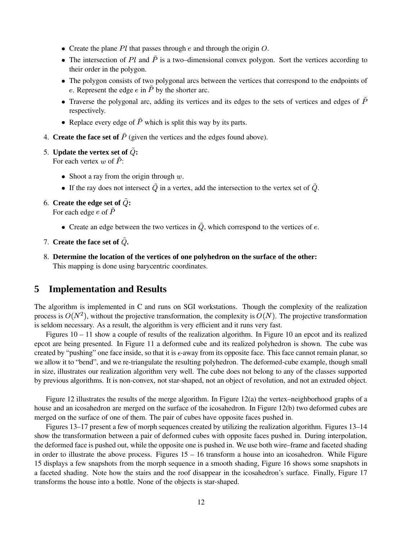- Create the plane  $Pl$  that passes through  $e$  and through the origin  $O$ .
- The intersection of  $Pl$  and  $P$  is a two–dimensional convex polygon. Sort the vertices according to their order in the polygon.
- The polygon consists of two polygonal arcs between the vertices that correspond to the endpoints of e. Represent the edge  $e$  in  $P$  by the shorter arc.
- Traverse the polygonal arc, adding its vertices and its edges to the sets of vertices and edges of  $P$ respectively.
- Replace every edge of  $P$  which is split this way by its parts.
- 4. **Create the face set of** (given the vertices and the edges found above).

#### 5. **Update** the vertex set of  $\tilde{Q}$ :

For each vertex  $w$  of  $P$ :

- Shoot a ray from the origin through  $w$ .
- If the ray does not intersect  $Q$  in a vertex, add the intersection to the vertex set of  $Q$ .
- 6. **Create** the edge set of  $\tilde{Q}$ : For each edge  $e$  of  $\overline{P}$ 
	- Create an edge between the two vertices in  $Q$ , which correspond to the vertices of  $e$ .
- 7. **Create the face set of .**
- 8. **Determine the location of the vertices of one polyhedron on the surface of the other:** This mapping is done using barycentric coordinates.

### **5 Implementation and Results**

The algorithm is implemented in C and runs on SGI workstations. Though the complexity of the realization process is  $O(N^2)$ , without the projective transformation, the complexity is  $O(N)$ . The projective transformation is seldom necessary. As a result, the algorithm is very efficient and it runs very fast.

Figures 10 – 11 show a couple of results of the realization algorithm. In Figure 10 an epcot and its realized epcot are being presented. In Figure 11 a deformed cube and its realized polyhedron is shown. The cube was created by "pushing" one face inside, so that it is  $\epsilon$ -away from its opposite face. This face cannot remain planar, so we allow it to "bend", and we re-triangulate the resulting polyhedron. The deformed-cube example, though small in size, illustrates our realization algorithm very well. The cube does not belong to any of the classes supported by previous algorithms. It is non-convex, not star-shaped, not an object of revolution, and not an extruded object.

Figure 12 illustrates the results of the merge algorithm. In Figure 12(a) the vertex–neighborhood graphs of a house and an icosahedron are merged on the surface of the icosahedron. In Figure 12(b) two deformed cubes are merged on the surface of one of them. The pair of cubes have opposite faces pushed in.

Figures 13–17 present a few of morph sequences created by utilizing the realization algorithm. Figures 13–14 show the transformation between a pair of deformed cubes with opposite faces pushed in. During interpolation, the deformed face is pushed out, while the opposite one is pushed in. We use both wire–frame and faceted shading in order to illustrate the above process. Figures 15 – 16 transform a house into an icosahedron. While Figure 15 displays a few snapshots from the morph sequence in a smooth shading, Figure 16 shows some snapshots in a faceted shading. Note how the stairs and the roof disappear in the icosahedron's surface. Finally, Figure 17 transforms the house into a bottle. None of the objects is star-shaped.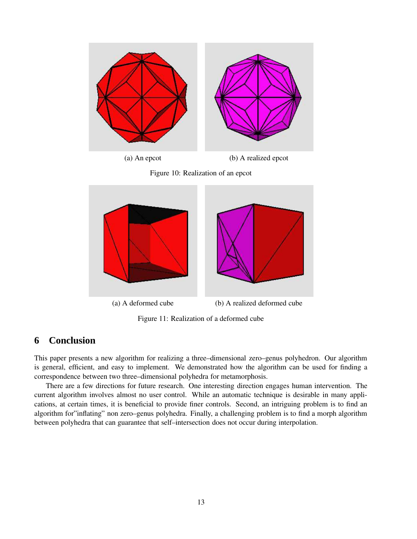





Figure 11: Realization of a deformed cube

### **6 Conclusion**

This paper presents a new algorithm for realizing a three–dimensional zero–genus polyhedron. Our algorithm is general, efficient, and easy to implement. We demonstrated how the algorithm can be used for finding a correspondence between two three–dimensional polyhedra for metamorphosis.

There are a few directions for future research. One interesting direction engages human intervention. The current algorithm involves almost no user control. While an automatic technique is desirable in many applications, at certain times, it is beneficial to provide finer controls. Second, an intriguing problem is to find an algorithm for"inflating" non zero–genus polyhedra. Finally, a challenging problem is to find a morph algorithm between polyhedra that can guarantee that self–intersection does not occur during interpolation.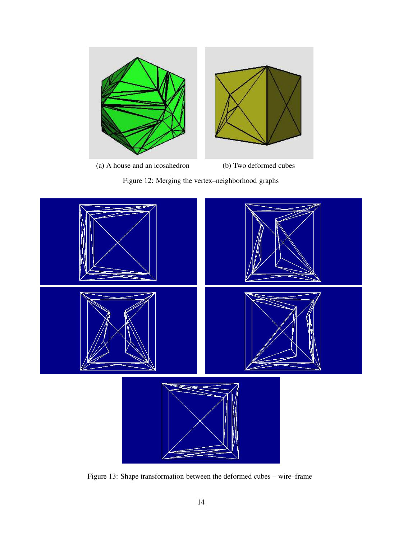

(a) A house and an icosahedron (b) Two deformed cubes





Figure 13: Shape transformation between the deformed cubes – wire–frame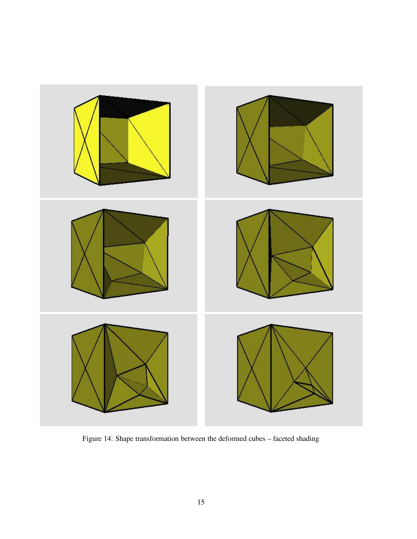

Figure 14: Shape transformation between the deformed cubes – faceted shading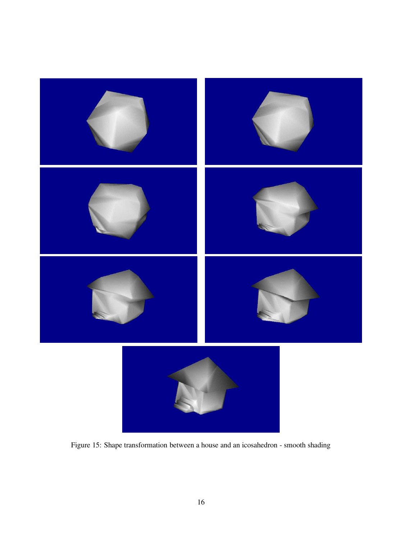

Figure 15: Shape transformation between a house and an icosahedron - smooth shading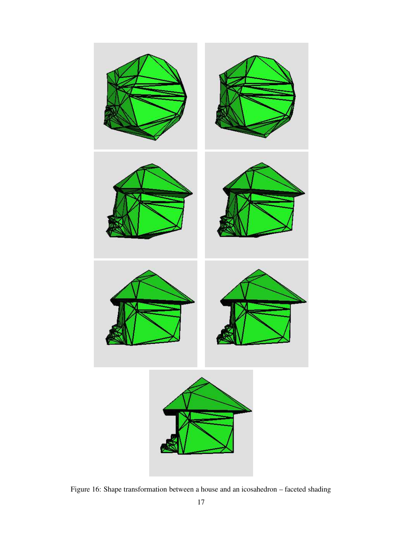

Figure 16: Shape transformation between a house and an icosahedron – faceted shading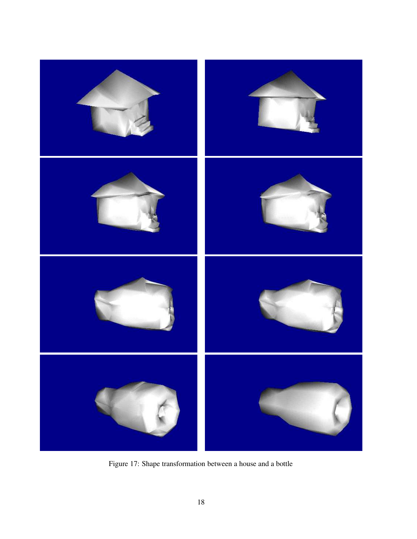

Figure 17: Shape transformation between a house and a bottle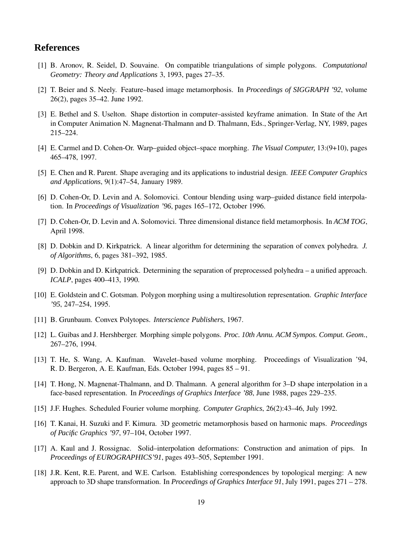## **References**

- [1] B. Aronov, R. Seidel, D. Souvaine. On compatible triangulations of simple polygons. *Computational Geometry: Theory and Applications* 3, 1993, pages 27–35.
- [2] T. Beier and S. Neely. Feature–based image metamorphosis. In *Proceedings of SIGGRAPH '92*, volume 26(2), pages 35–42. June 1992.
- [3] E. Bethel and S. Uselton. Shape distortion in computer–assisted keyframe animation. In State of the Art in Computer Animation N. Magnenat-Thalmann and D. Thalmann, Eds., Springer-Verlag, NY, 1989, pages 215–224.
- [4] E. Carmel and D. Cohen-Or. Warp–guided object–space morphing. *The Visual Computer,* 13:(9+10), pages 465–478, 1997.
- [5] E. Chen and R. Parent. Shape averaging and its applications to industrial design. *IEEE Computer Graphics and Applications*, 9(1):47–54, January 1989.
- [6] D. Cohen-Or, D. Levin and A. Solomovici. Contour blending using warp–guided distance field interpolation. In *Proceedings of Visualization '96*, pages 165–172, October 1996.
- [7] D. Cohen-Or, D. Levin and A. Solomovici. Three dimensional distance field metamorphosis. In *ACM TOG*, April 1998.
- [8] D. Dobkin and D. Kirkpatrick. A linear algorithm for determining the separation of convex polyhedra. *J. of Algorithms*, 6, pages 381–392, 1985.
- [9] D. Dobkin and D. Kirkpatrick. Determining the separation of preprocessed polyhedra a unified approach. *ICALP*, pages 400–413, 1990.
- [10] E. Goldstein and C. Gotsman. Polygon morphing using a multiresolution representation. *Graphic Interface '95*, 247–254, 1995.
- [11] B. Grunbaum. Convex Polytopes. *Interscience Publishers*, 1967.
- [12] L. Guibas and J. Hershberger. Morphing simple polygons. *Proc. 10th Annu. ACM Sympos. Comput. Geom.*, 267–276, 1994.
- [13] T. He, S. Wang, A. Kaufman. Wavelet–based volume morphing. Proceedings of Visualization '94, R. D. Bergeron, A. E. Kaufman, Eds. October 1994, pages 85 – 91.
- [14] T. Hong, N. Magnenat-Thalmann, and D. Thalmann. A general algorithm for 3–D shape interpolation in a face-based representation. In *Proceedings of Graphics Interface '88*, June 1988, pages 229–235.
- [15] J.F. Hughes. Scheduled Fourier volume morphing. *Computer Graphics*, 26(2):43–46, July 1992.
- [16] T. Kanai, H. Suzuki and F. Kimura. 3D geometric metamorphosis based on harmonic maps. *Proceedings of Pacific Graphics '97*, 97–104, October 1997.
- [17] A. Kaul and J. Rossignac. Solid–interpolation deformations: Construction and animation of pips. In *Proceedings of EUROGRAPHICS'91*, pages 493–505, September 1991.
- [18] J.R. Kent, R.E. Parent, and W.E. Carlson. Establishing correspondences by topological merging: A new approach to 3D shape transformation. In *Proceedings of Graphics Interface 91*, July 1991, pages 271 – 278.